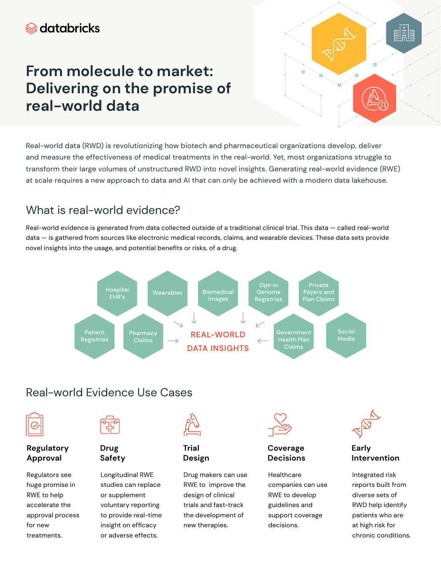# *S* databricks

# **From molecule to market: Delivering on the promise of real-world data**

騙  $\circ$ 

Real-world data (RWD) is revolutionizing how biotech and pharmaceutical organizations develop, deliver and measure the effectiveness of medical treatments in the real-world. Yet, most organizations struggle to transform their large volumes of unstructured RWD into novel insights. Generating real-world evidence (RWE) at scale requires a new approach to data and AI that can only be achieved with a modern data lakehouse.

# What is real-world evidence?

Real-world evidence is generated from data collected outside of a traditional clinical trial. This data — called real-world data — is gathered from sources like electronic medical records, claims, and wearable devices. These data sets provide novel insights into the usage, and potential benefits or risks, of a drug.



# Real-world Evidence Use Cases



### **Regulatory Approval**

Regulators see huge promise in RWE to help accelerate the approval process for new treatments.



# **Drug Safety**

Longitudinal RWE studies can replace or supplement voluntary reporting to provide real-time insight on efficacy or adverse effects.



## **Trial Design**

Drug makers can use RWE to improve the design of clinical trials and fast-track the development of new therapies.



### **Coverage Decisions**

**Healthcare** companies can use RWE to develop guidelines and support coverage decisions.



**Early Intervention** 

Integrated risk reports built from diverse sets of RWD help identify patients who are at high risk for chronic conditions.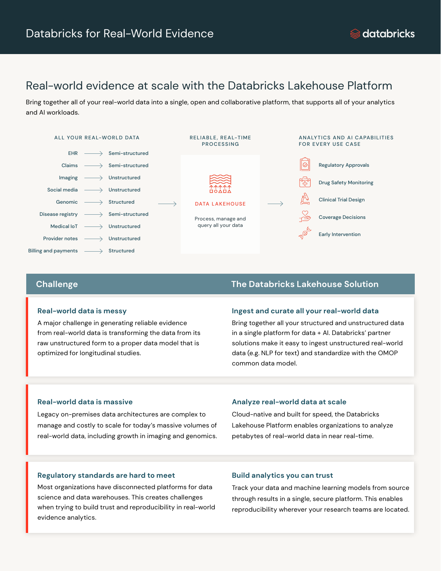# Real-world evidence at scale with the Databricks Lakehouse Platform

Bring together all of your real-world data into a single, open and collaborative platform, that supports all of your analytics and AI workloads.



#### **Real-world data is messy**

A major challenge in generating reliable evidence from real-world data is transforming the data from its raw unstructured form to a proper data model that is optimized for longitudinal studies.

### **Challenge The Databricks Lakehouse Solution**

#### **Ingest and curate all your real-world data**

Bring together all your structured and unstructured data in a single platform for data + AI. Databricks' partner solutions make it easy to ingest unstructured real-world data (e.g. NLP for text) and standardize with the OMOP common data model.

### **Real-world data is massive**

Legacy on-premises data architectures are complex to manage and costly to scale for today's massive volumes of real-world data, including growth in imaging and genomics.

### **Analyze real-world data at scale**

Cloud-native and built for speed, the Databricks Lakehouse Platform enables organizations to analyze petabytes of real-world data in near real-time.

### **Regulatory standards are hard to meet**

Most organizations have disconnected platforms for data science and data warehouses. This creates challenges when trying to build trust and reproducibility in real-world evidence analytics.

#### **Build analytics you can trust**

Track your data and machine learning models from source through results in a single, secure platform. This enables reproducibility wherever your research teams are located.